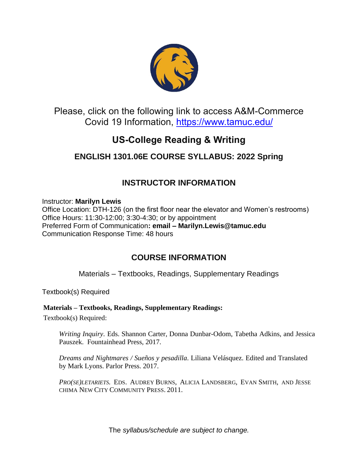

## Please, click on the following link to access A&M-Commerce Covid 19 Information,<https://www.tamuc.edu/>

# **US-College Reading & Writing**

# **ENGLISH 1301.06E COURSE SYLLABUS: 2022 Spring**

# **INSTRUCTOR INFORMATION**

Instructor: **Marilyn Lewis** Office Location: DTH-126 (on the first floor near the elevator and Women's restrooms) Office Hours: 11:30-12:00; 3:30-4:30; or by appointment Preferred Form of Communication**: email – Marilyn.Lewis@tamuc.edu** Communication Response Time: 48 hours

## **COURSE INFORMATION**

Materials – Textbooks, Readings, Supplementary Readings

Textbook(s) Required

### **Materials – Textbooks, Readings, Supplementary Readings:**

Textbook(s) Required:

*Writing Inquiry*. Eds. Shannon Carter, Donna Dunbar-Odom, Tabetha Adkins, and Jessica Pauszek. Fountainhead Press, 2017.

*Dreams and Nightmares / Sueños y pesadilla*. Liliana Velásquez. Edited and Translated by Mark Lyons. Parlor Press. 2017.

*PRO(SE)LETARIETS.* EDS. AUDREY BURNS, ALICIA LANDSBERG, EVAN SMITH, AND JESSE CHIMA NEW CITY COMMUNITY PRESS. 2011.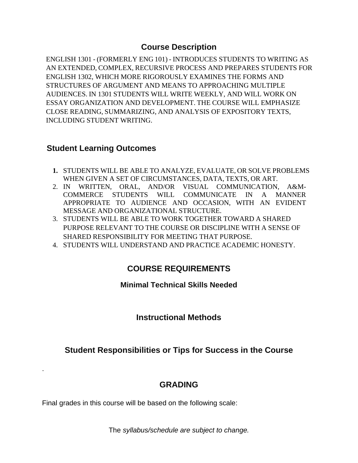### **Course Description**

ENGLISH 1301 - (FORMERLY ENG 101) - INTRODUCES STUDENTS TO WRITING AS AN EXTENDED, COMPLEX, RECURSIVE PROCESS AND PREPARES STUDENTS FOR ENGLISH 1302, WHICH MORE RIGOROUSLY EXAMINES THE FORMS AND STRUCTURES OF ARGUMENT AND MEANS TO APPROACHING MULTIPLE AUDIENCES. IN 1301 STUDENTS WILL WRITE WEEKLY, AND WILL WORK ON ESSAY ORGANIZATION AND DEVELOPMENT. THE COURSE WILL EMPHASIZE CLOSE READING, SUMMARIZING, AND ANALYSIS OF EXPOSITORY TEXTS, INCLUDING STUDENT WRITING.

## **Student Learning Outcomes**

.

- **1.** STUDENTS WILL BE ABLE TO ANALYZE, EVALUATE, OR SOLVE PROBLEMS WHEN GIVEN A SET OF CIRCUMSTANCES, DATA, TEXTS, OR ART.
- 2. IN WRITTEN, ORAL, AND/OR VISUAL COMMUNICATION, A&M-COMMERCE STUDENTS WILL COMMUNICATE IN A MANNER APPROPRIATE TO AUDIENCE AND OCCASION, WITH AN EVIDENT MESSAGE AND ORGANIZATIONAL STRUCTURE.
- 3. STUDENTS WILL BE ABLE TO WORK TOGETHER TOWARD A SHARED PURPOSE RELEVANT TO THE COURSE OR DISCIPLINE WITH A SENSE OF SHARED RESPONSIBILITY FOR MEETING THAT PURPOSE.
- 4. STUDENTS WILL UNDERSTAND AND PRACTICE ACADEMIC HONESTY.

## **COURSE REQUIREMENTS**

### **Minimal Technical Skills Needed**

## **Instructional Methods**

## **Student Responsibilities or Tips for Success in the Course**

## **GRADING**

Final grades in this course will be based on the following scale: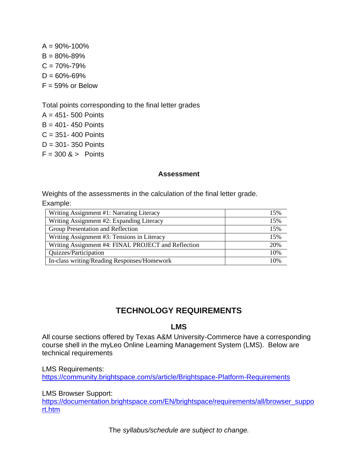$A = 90\% - 100\%$  $B = 80\% - 89\%$  $C = 70\% - 79\%$  $D = 60\% - 69\%$  $F = 59\%$  or Below

Total points corresponding to the final letter grades

 $A = 451 - 500$  Points  $B = 401 - 450$  Points  $C = 351 - 400$  Points  $D = 301 - 350$  Points  $F = 300$  & > Points

#### **Assessment**

Weights of the assessments in the calculation of the final letter grade.

Example:

| Writing Assignment #1: Narrating Literacy           | 15% |
|-----------------------------------------------------|-----|
| Writing Assignment #2: Expanding Literacy           | 15% |
| Group Presentation and Reflection                   | 15% |
| Writing Assignment #3: Tensions in Literacy         | 15% |
| Writing Assignment #4: FINAL PROJECT and Reflection | 20% |
| Quizzes/Participation                               | 10% |
| In-class writing/Reading Responses/Homework         | 10% |

## **TECHNOLOGY REQUIREMENTS**

### **LMS**

All course sections offered by Texas A&M University-Commerce have a corresponding course shell in the myLeo Online Learning Management System (LMS). Below are technical requirements

LMS Requirements: <https://community.brightspace.com/s/article/Brightspace-Platform-Requirements>

LMS Browser Support:

[https://documentation.brightspace.com/EN/brightspace/requirements/all/browser\\_suppo](https://documentation.brightspace.com/EN/brightspace/requirements/all/browser_support.htm) [rt.htm](https://documentation.brightspace.com/EN/brightspace/requirements/all/browser_support.htm)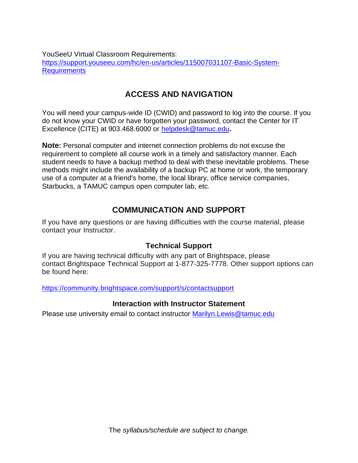YouSeeU Virtual Classroom Requirements: [https://support.youseeu.com/hc/en-us/articles/115007031107-Basic-System-](https://support.youseeu.com/hc/en-us/articles/115007031107-Basic-System-Requirements)**[Requirements](https://support.youseeu.com/hc/en-us/articles/115007031107-Basic-System-Requirements)** 

## **ACCESS AND NAVIGATION**

You will need your campus-wide ID (CWID) and password to log into the course. If you do not know your CWID or have forgotten your password, contact the Center for IT Excellence (CITE) at 903.468.6000 or [helpdesk@tamuc.edu](mailto:helpdesk@tamuc.edu)**.**

**Note:** Personal computer and internet connection problems do not excuse the requirement to complete all course work in a timely and satisfactory manner. Each student needs to have a backup method to deal with these inevitable problems. These methods might include the availability of a backup PC at home or work, the temporary use of a computer at a friend's home, the local library, office service companies, Starbucks, a TAMUC campus open computer lab, etc.

## **COMMUNICATION AND SUPPORT**

If you have any questions or are having difficulties with the course material, please contact your Instructor.

### **Technical Support**

If you are having technical difficulty with any part of Brightspace, please contact Brightspace Technical Support at 1-877-325-7778. Other support options can be found here:

<https://community.brightspace.com/support/s/contactsupport>

### **Interaction with Instructor Statement**

Please use university email to contact instructor **Marilyn. Lewis@tamuc.edu**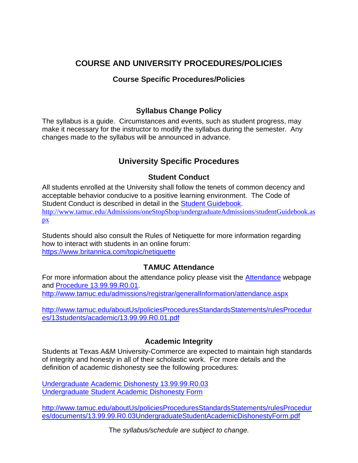## **COURSE AND UNIVERSITY PROCEDURES/POLICIES**

### **Course Specific Procedures/Policies**

### **Syllabus Change Policy**

The syllabus is a guide. Circumstances and events, such as student progress, may make it necessary for the instructor to modify the syllabus during the semester. Any changes made to the syllabus will be announced in advance.

## **University Specific Procedures**

### **Student Conduct**

All students enrolled at the University shall follow the tenets of common decency and acceptable behavior conducive to a positive learning environment. The Code of Student Conduct is described in detail in the [Student Guidebook.](http://www.tamuc.edu/Admissions/oneStopShop/undergraduateAdmissions/studentGuidebook.aspx) [http://www.tamuc.edu/Admissions/oneStopShop/undergraduateAdmissions/studentGuidebook.as](http://www.tamuc.edu/Admissions/oneStopShop/undergraduateAdmissions/studentGuidebook.aspx) [px](http://www.tamuc.edu/Admissions/oneStopShop/undergraduateAdmissions/studentGuidebook.aspx)

Students should also consult the Rules of Netiquette for more information regarding how to interact with students in an online forum: <https://www.britannica.com/topic/netiquette>

### **TAMUC Attendance**

For more information about the attendance policy please visit the [Attendance](http://www.tamuc.edu/admissions/registrar/generalInformation/attendance.aspx) webpage and [Procedure 13.99.99.R0.01.](http://www.tamuc.edu/aboutUs/policiesProceduresStandardsStatements/rulesProcedures/13students/academic/13.99.99.R0.01.pdf) <http://www.tamuc.edu/admissions/registrar/generalInformation/attendance.aspx>

[http://www.tamuc.edu/aboutUs/policiesProceduresStandardsStatements/rulesProcedur](http://www.tamuc.edu/aboutUs/policiesProceduresStandardsStatements/rulesProcedures/13students/academic/13.99.99.R0.01.pdf) [es/13students/academic/13.99.99.R0.01.pdf](http://www.tamuc.edu/aboutUs/policiesProceduresStandardsStatements/rulesProcedures/13students/academic/13.99.99.R0.01.pdf)

### **Academic Integrity**

Students at Texas A&M University-Commerce are expected to maintain high standards of integrity and honesty in all of their scholastic work. For more details and the definition of academic dishonesty see the following procedures:

[Undergraduate Academic Dishonesty 13.99.99.R0.03](http://www.tamuc.edu/aboutUs/policiesProceduresStandardsStatements/rulesProcedures/13students/undergraduates/13.99.99.R0.03UndergraduateAcademicDishonesty.pdf) [Undergraduate Student Academic Dishonesty Form](http://www.tamuc.edu/aboutUs/policiesProceduresStandardsStatements/rulesProcedures/documents/13.99.99.R0.03UndergraduateStudentAcademicDishonestyForm.pdf)

[http://www.tamuc.edu/aboutUs/policiesProceduresStandardsStatements/rulesProcedur](http://www.tamuc.edu/aboutUs/policiesProceduresStandardsStatements/rulesProcedures/documents/13.99.99.R0.03UndergraduateStudentAcademicDishonestyForm.pdf) [es/documents/13.99.99.R0.03UndergraduateStudentAcademicDishonestyForm.pdf](http://www.tamuc.edu/aboutUs/policiesProceduresStandardsStatements/rulesProcedures/documents/13.99.99.R0.03UndergraduateStudentAcademicDishonestyForm.pdf)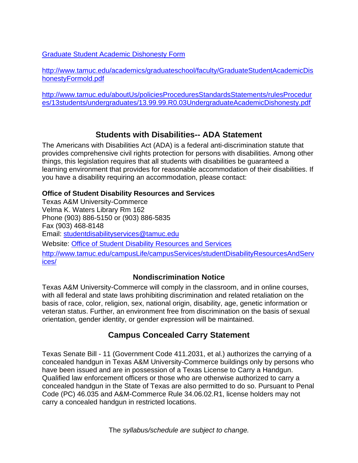[Graduate Student Academic Dishonesty Form](http://www.tamuc.edu/academics/graduateschool/faculty/GraduateStudentAcademicDishonestyFormold.pdf)

[http://www.tamuc.edu/academics/graduateschool/faculty/GraduateStudentAcademicDis](http://www.tamuc.edu/academics/graduateschool/faculty/GraduateStudentAcademicDishonestyFormold.pdf) [honestyFormold.pdf](http://www.tamuc.edu/academics/graduateschool/faculty/GraduateStudentAcademicDishonestyFormold.pdf)

[http://www.tamuc.edu/aboutUs/policiesProceduresStandardsStatements/rulesProcedur](http://www.tamuc.edu/aboutUs/policiesProceduresStandardsStatements/rulesProcedures/13students/undergraduates/13.99.99.R0.03UndergraduateAcademicDishonesty.pdf) [es/13students/undergraduates/13.99.99.R0.03UndergraduateAcademicDishonesty.pdf](http://www.tamuc.edu/aboutUs/policiesProceduresStandardsStatements/rulesProcedures/13students/undergraduates/13.99.99.R0.03UndergraduateAcademicDishonesty.pdf)

## **Students with Disabilities-- ADA Statement**

The Americans with Disabilities Act (ADA) is a federal anti-discrimination statute that provides comprehensive civil rights protection for persons with disabilities. Among other things, this legislation requires that all students with disabilities be guaranteed a learning environment that provides for reasonable accommodation of their disabilities. If you have a disability requiring an accommodation, please contact:

### **Office of Student Disability Resources and Services**

Texas A&M University-Commerce Velma K. Waters Library Rm 162 Phone (903) 886-5150 or (903) 886-5835 Fax (903) 468-8148 Email: [studentdisabilityservices@tamuc.edu](mailto:studentdisabilityservices@tamuc.edu) Website: [Office of Student Disability Resources and Services](http://www.tamuc.edu/campusLife/campusServices/studentDisabilityResourcesAndServices/) [http://www.tamuc.edu/campusLife/campusServices/studentDisabilityResourcesAndServ](http://www.tamuc.edu/campusLife/campusServices/studentDisabilityResourcesAndServices/) [ices/](http://www.tamuc.edu/campusLife/campusServices/studentDisabilityResourcesAndServices/)

## **Nondiscrimination Notice**

Texas A&M University-Commerce will comply in the classroom, and in online courses, with all federal and state laws prohibiting discrimination and related retaliation on the basis of race, color, religion, sex, national origin, disability, age, genetic information or veteran status. Further, an environment free from discrimination on the basis of sexual orientation, gender identity, or gender expression will be maintained.

## **Campus Concealed Carry Statement**

Texas Senate Bill - 11 (Government Code 411.2031, et al.) authorizes the carrying of a concealed handgun in Texas A&M University-Commerce buildings only by persons who have been issued and are in possession of a Texas License to Carry a Handgun. Qualified law enforcement officers or those who are otherwise authorized to carry a concealed handgun in the State of Texas are also permitted to do so. Pursuant to Penal Code (PC) 46.035 and A&M-Commerce Rule 34.06.02.R1, license holders may not carry a concealed handgun in restricted locations.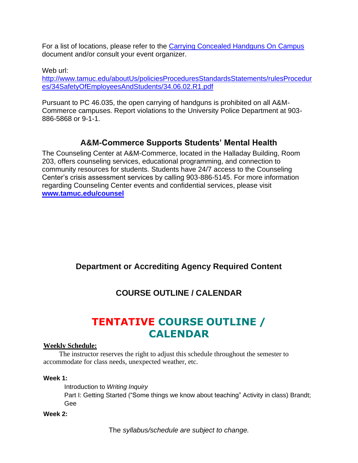For a list of locations, please refer to the [Carrying Concealed Handguns On Campus](http://www.tamuc.edu/aboutUs/policiesProceduresStandardsStatements/rulesProcedures/34SafetyOfEmployeesAndStudents/34.06.02.R1.pdf) document and/or consult your event organizer.

Web url:

[http://www.tamuc.edu/aboutUs/policiesProceduresStandardsStatements/rulesProcedur](http://www.tamuc.edu/aboutUs/policiesProceduresStandardsStatements/rulesProcedures/34SafetyOfEmployeesAndStudents/34.06.02.R1.pdf) [es/34SafetyOfEmployeesAndStudents/34.06.02.R1.pdf](http://www.tamuc.edu/aboutUs/policiesProceduresStandardsStatements/rulesProcedures/34SafetyOfEmployeesAndStudents/34.06.02.R1.pdf)

Pursuant to PC 46.035, the open carrying of handguns is prohibited on all A&M-Commerce campuses. Report violations to the University Police Department at 903- 886-5868 or 9-1-1.

## **A&M-Commerce Supports Students' Mental Health**

The Counseling Center at A&M-Commerce, located in the Halladay Building, Room 203, offers counseling services, educational programming, and connection to community resources for students. Students have 24/7 access to the Counseling Center's crisis assessment services by calling 903-886-5145. For more information regarding Counseling Center events and confidential services, please visit **[www.tamuc.edu/counsel](http://www.tamuc.edu/counsel)**

## **Department or Accrediting Agency Required Content**

# **COURSE OUTLINE / CALENDAR**

# **TENTATIVE COURSE OUTLINE / CALENDAR**

#### **Weekly Schedule:**

The instructor reserves the right to adjust this schedule throughout the semester to accommodate for class needs, unexpected weather, etc.

#### **Week 1:**

Introduction to *Writing Inquiry*

Part I: Getting Started ("Some things we know about teaching" Activity in class) Brandt; Gee

### **Week 2:**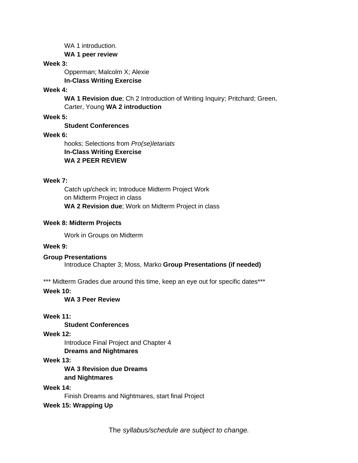WA 1 introduction. **WA 1 peer review**

#### **Week 3:**

Opperman; Malcolm X; Alexie **In-Class Writing Exercise**

#### **Week 4:**

**WA 1 Revision due**; Ch 2 Introduction of Writing Inquiry; Pritchard; Green, Carter, Young **WA 2 introduction**

#### **Week 5:**

**Student Conferences**

#### **Week 6:**

hooks; Selections from *Pro(se)letariats* **In-Class Writing Exercise WA 2 PEER REVIEW**

#### **Week 7:**

Catch up/check in; Introduce Midterm Project Work on Midterm Project in class **WA 2 Revision due**; Work on Midterm Project in class

#### **Week 8: Midterm Projects**

Work in Groups on Midterm

#### **Week 9:**

**Group Presentations** Introduce Chapter 3; Moss, Marko **Group Presentations (if needed)**

\*\*\* Midterm Grades due around this time, keep an eye out for specific dates\*\*\*

**Week 10:**

**WA 3 Peer Review**

#### **Week 11:**

**Student Conferences**

**Week 12:**

Introduce Final Project and Chapter 4

#### **Dreams and Nightmares**

#### **Week 13:**

**WA 3 Revision due Dreams and Nightmares**

#### **Week 14:**

Finish Dreams and Nightmares, start final Project

#### **Week 15: Wrapping Up**